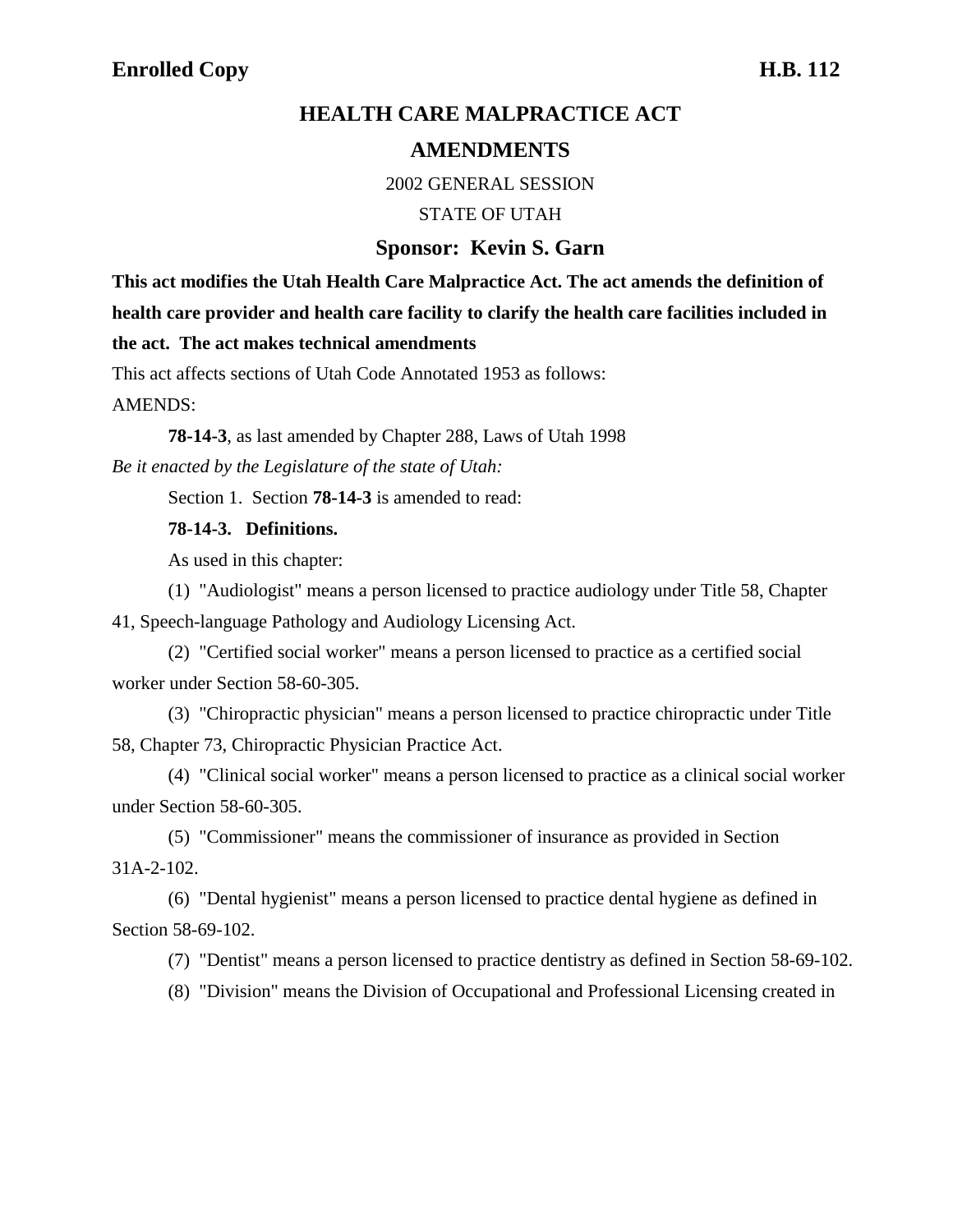# **HEALTH CARE MALPRACTICE ACT AMENDMENTS**

2002 GENERAL SESSION

STATE OF UTAH

## **Sponsor: Kevin S. Garn**

**This act modifies the Utah Health Care Malpractice Act. The act amends the definition of health care provider and health care facility to clarify the health care facilities included in the act. The act makes technical amendments**

This act affects sections of Utah Code Annotated 1953 as follows:

AMENDS:

**78-14-3**, as last amended by Chapter 288, Laws of Utah 1998 *Be it enacted by the Legislature of the state of Utah:*

Section 1. Section **78-14-3** is amended to read:

### **78-14-3. Definitions.**

As used in this chapter:

(1) "Audiologist" means a person licensed to practice audiology under Title 58, Chapter 41, Speech-language Pathology and Audiology Licensing Act.

(2) "Certified social worker" means a person licensed to practice as a certified social worker under Section 58-60-305.

(3) "Chiropractic physician" means a person licensed to practice chiropractic under Title 58, Chapter 73, Chiropractic Physician Practice Act.

(4) "Clinical social worker" means a person licensed to practice as a clinical social worker under Section 58-60-305.

(5) "Commissioner" means the commissioner of insurance as provided in Section 31A-2-102.

(6) "Dental hygienist" means a person licensed to practice dental hygiene as defined in Section 58-69-102.

(7) "Dentist" means a person licensed to practice dentistry as defined in Section 58-69-102.

(8) "Division" means the Division of Occupational and Professional Licensing created in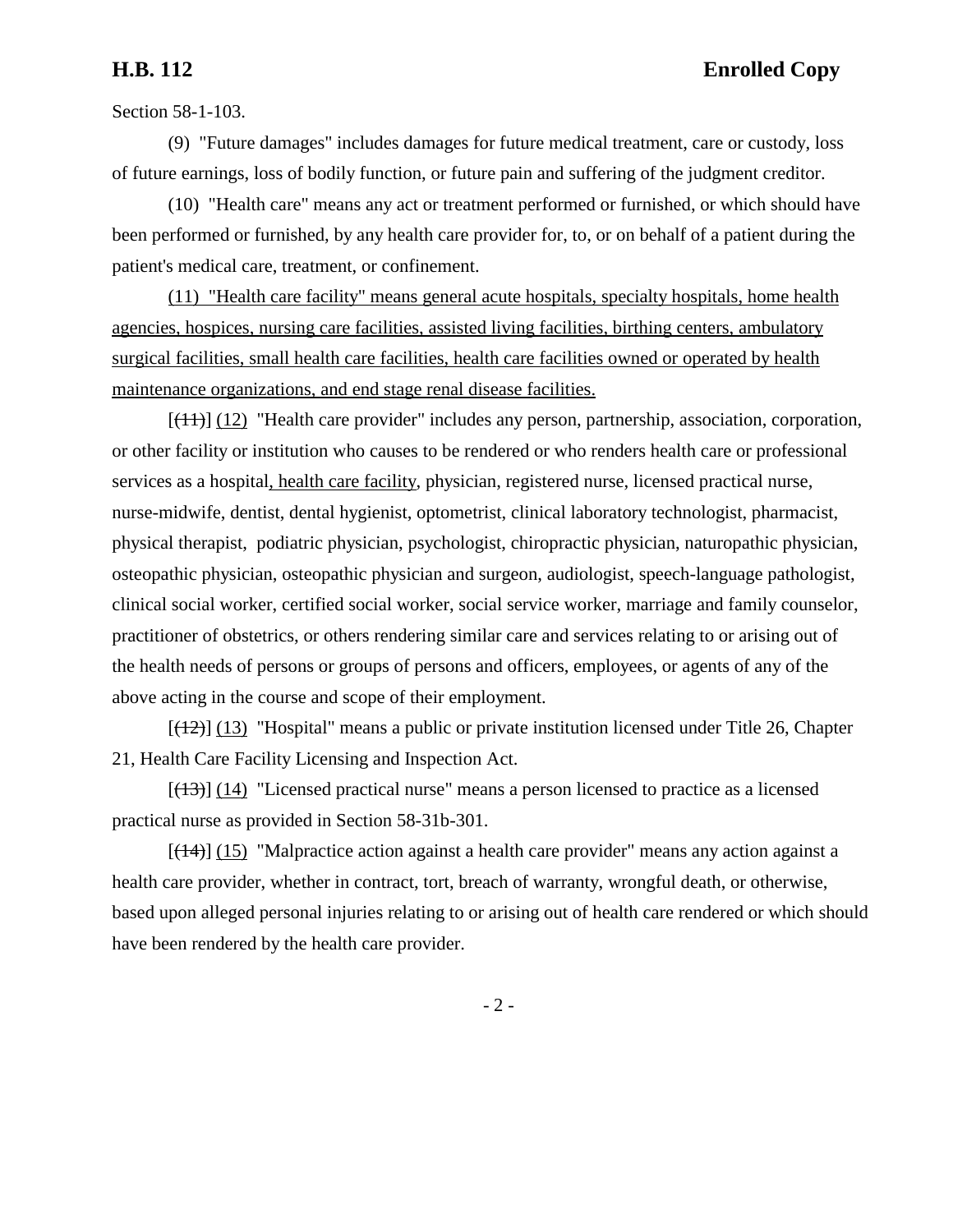Section 58-1-103.

(9) "Future damages" includes damages for future medical treatment, care or custody, loss of future earnings, loss of bodily function, or future pain and suffering of the judgment creditor.

(10) "Health care" means any act or treatment performed or furnished, or which should have been performed or furnished, by any health care provider for, to, or on behalf of a patient during the patient's medical care, treatment, or confinement.

(11) "Health care facility" means general acute hospitals, specialty hospitals, home health agencies, hospices, nursing care facilities, assisted living facilities, birthing centers, ambulatory surgical facilities, small health care facilities, health care facilities owned or operated by health maintenance organizations, and end stage renal disease facilities.

 $[(11)]$  (12) "Health care provider" includes any person, partnership, association, corporation, or other facility or institution who causes to be rendered or who renders health care or professional services as a hospital, health care facility, physician, registered nurse, licensed practical nurse, nurse-midwife, dentist, dental hygienist, optometrist, clinical laboratory technologist, pharmacist, physical therapist, podiatric physician, psychologist, chiropractic physician, naturopathic physician, osteopathic physician, osteopathic physician and surgeon, audiologist, speech-language pathologist, clinical social worker, certified social worker, social service worker, marriage and family counselor, practitioner of obstetrics, or others rendering similar care and services relating to or arising out of the health needs of persons or groups of persons and officers, employees, or agents of any of the above acting in the course and scope of their employment.

 $[(12)]$  (13) "Hospital" means a public or private institution licensed under Title 26, Chapter 21, Health Care Facility Licensing and Inspection Act.

 $[(13)]$  (14) "Licensed practical nurse" means a person licensed to practice as a licensed practical nurse as provided in Section 58-31b-301.

 $[({14})]$  (15) "Malpractice action against a health care provider" means any action against a health care provider, whether in contract, tort, breach of warranty, wrongful death, or otherwise, based upon alleged personal injuries relating to or arising out of health care rendered or which should have been rendered by the health care provider.

- 2 -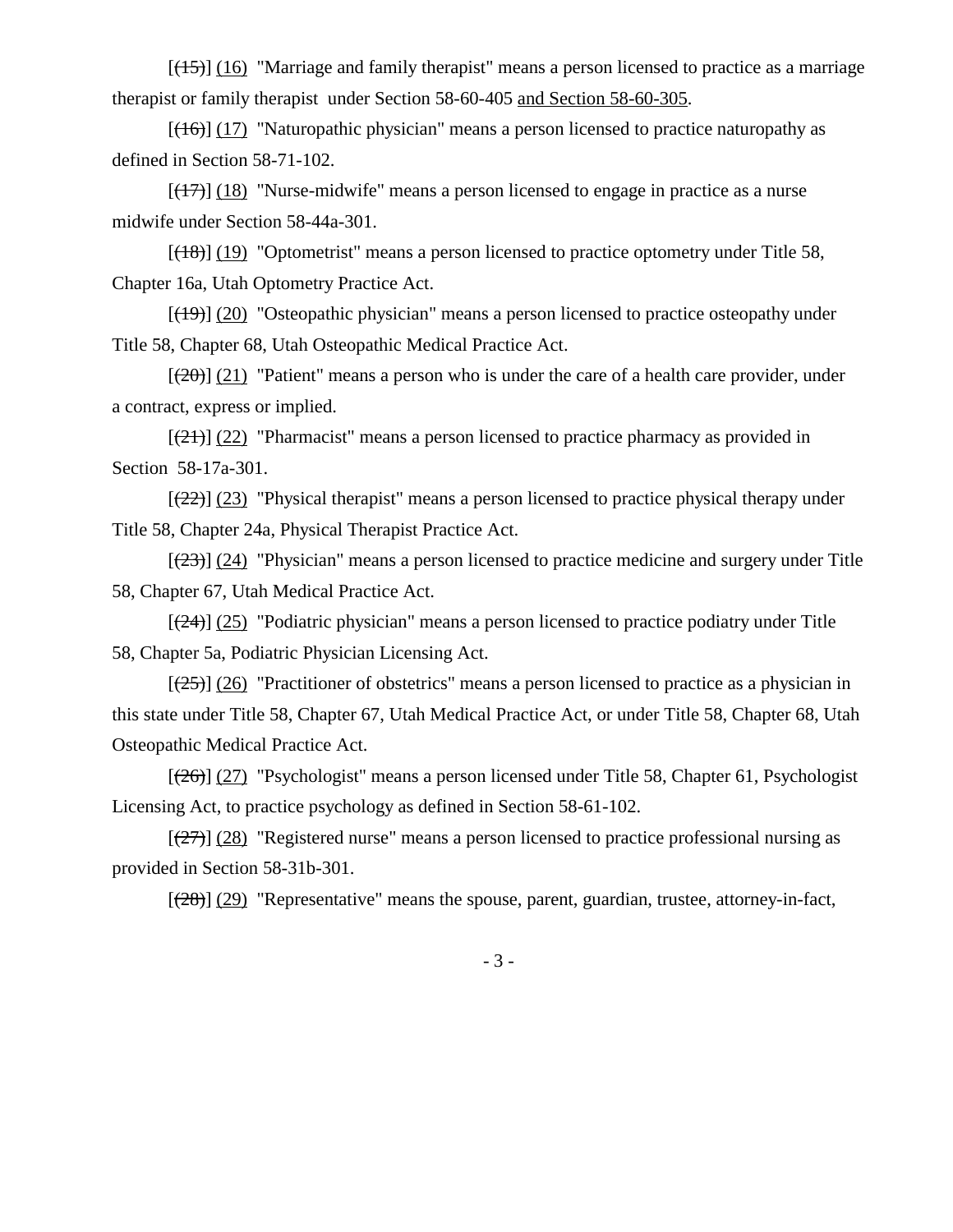$[(15)]$  (16) "Marriage and family therapist" means a person licensed to practice as a marriage therapist or family therapist under Section 58-60-405 and Section 58-60-305.

 $[(16)]$  (17) "Naturopathic physician" means a person licensed to practice naturopathy as defined in Section 58-71-102.

 $[(17)]$  (18) "Nurse-midwife" means a person licensed to engage in practice as a nurse midwife under Section 58-44a-301.

 $[(18)]$  (19) "Optometrist" means a person licensed to practice optometry under Title 58, Chapter 16a, Utah Optometry Practice Act.

 $[(19)] (20)$  "Osteopathic physician" means a person licensed to practice osteopathy under Title 58, Chapter 68, Utah Osteopathic Medical Practice Act.

 $[(20)(21)]$  "Patient" means a person who is under the care of a health care provider, under a contract, express or implied.

 $[(21)]$  (22) "Pharmacist" means a person licensed to practice pharmacy as provided in Section 58-17a-301.

 $[(22)]$  (23) "Physical therapist" means a person licensed to practice physical therapy under Title 58, Chapter 24a, Physical Therapist Practice Act.

 $[(23)]$  (24) "Physician" means a person licensed to practice medicine and surgery under Title 58, Chapter 67, Utah Medical Practice Act.

 $[(24)]$  (25) "Podiatric physician" means a person licensed to practice podiatry under Title 58, Chapter 5a, Podiatric Physician Licensing Act.

 $[(25)]$  (26) "Practitioner of obstetrics" means a person licensed to practice as a physician in this state under Title 58, Chapter 67, Utah Medical Practice Act, or under Title 58, Chapter 68, Utah Osteopathic Medical Practice Act.

 $[(26)]$  (27) "Psychologist" means a person licensed under Title 58, Chapter 61, Psychologist Licensing Act, to practice psychology as defined in Section 58-61-102.

 $[(27)]$  (28) "Registered nurse" means a person licensed to practice professional nursing as provided in Section 58-31b-301.

 $[(28)]$  (29) "Representative" means the spouse, parent, guardian, trustee, attorney-in-fact,

- 3 -